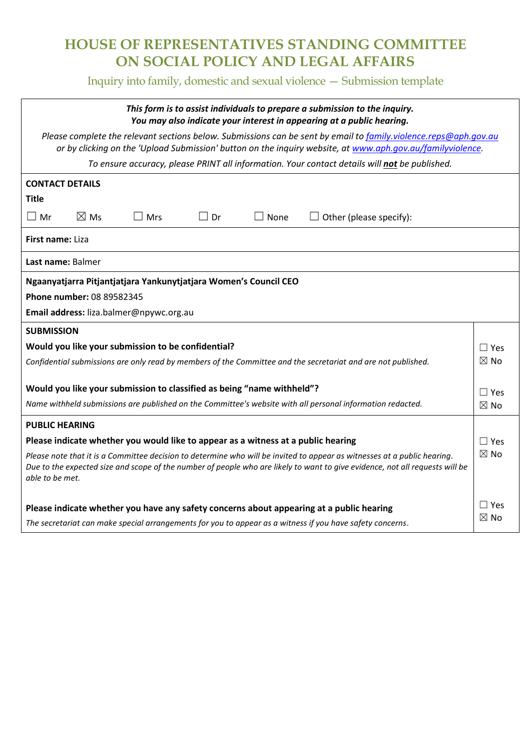# **HOUSE OF REPRESENTATIVES STANDING COMMITTEE ON SOCIAL POLICY AND LEGAL AFFAIRS**

Inquiry into family, domestic and sexual violence — Submission template

| This form is to assist individuals to prepare a submission to the inquiry.<br>You may also indicate your interest in appearing at a public hearing.                                                                                                                                           |  |  |
|-----------------------------------------------------------------------------------------------------------------------------------------------------------------------------------------------------------------------------------------------------------------------------------------------|--|--|
| Please complete the relevant sections below. Submissions can be sent by email to family.violence.reps@aph.gov.au<br>or by clicking on the 'Upload Submission' button on the inquiry website, at www.aph.gov.au/familyviolence.                                                                |  |  |
| To ensure accuracy, please PRINT all information. Your contact details will not be published.                                                                                                                                                                                                 |  |  |
| <b>CONTACT DETAILS</b>                                                                                                                                                                                                                                                                        |  |  |
| <b>Title</b>                                                                                                                                                                                                                                                                                  |  |  |
| $\boxtimes$ Ms<br>$\Box$ Mr<br>$\Box$ Dr<br>$\square$ Mrs<br>$\Box$ None<br>$\Box$ Other (please specify):                                                                                                                                                                                    |  |  |
| <b>First name: Liza</b>                                                                                                                                                                                                                                                                       |  |  |
| Last name: Balmer                                                                                                                                                                                                                                                                             |  |  |
| Ngaanyatjarra Pitjantjatjara Yankunytjatjara Women's Council CEO                                                                                                                                                                                                                              |  |  |
| Phone number: 08 89582345                                                                                                                                                                                                                                                                     |  |  |
| Email address: liza.balmer@npywc.org.au                                                                                                                                                                                                                                                       |  |  |
| <b>SUBMISSION</b>                                                                                                                                                                                                                                                                             |  |  |
| Would you like your submission to be confidential?<br>$\Box$ Yes                                                                                                                                                                                                                              |  |  |
| $\boxtimes$ No<br>Confidential submissions are only read by members of the Committee and the secretariat and are not published.                                                                                                                                                               |  |  |
|                                                                                                                                                                                                                                                                                               |  |  |
| Would you like your submission to classified as being "name withheld"?<br>$\Box$ Yes                                                                                                                                                                                                          |  |  |
| Name withheld submissions are published on the Committee's website with all personal information redacted.<br>$\boxtimes$ No                                                                                                                                                                  |  |  |
| <b>PUBLIC HEARING</b>                                                                                                                                                                                                                                                                         |  |  |
| Please indicate whether you would like to appear as a witness at a public hearing<br>$\Box$ Yes                                                                                                                                                                                               |  |  |
| $\boxtimes$ No<br>Please note that it is a Committee decision to determine who will be invited to appear as witnesses at a public hearing.<br>Due to the expected size and scope of the number of people who are likely to want to give evidence, not all requests will be<br>able to be met. |  |  |
| $\Box$ Yes<br>Please indicate whether you have any safety concerns about appearing at a public hearing                                                                                                                                                                                        |  |  |
| ⊠ No<br>The secretariat can make special arrangements for you to appear as a witness if you have safety concerns.                                                                                                                                                                             |  |  |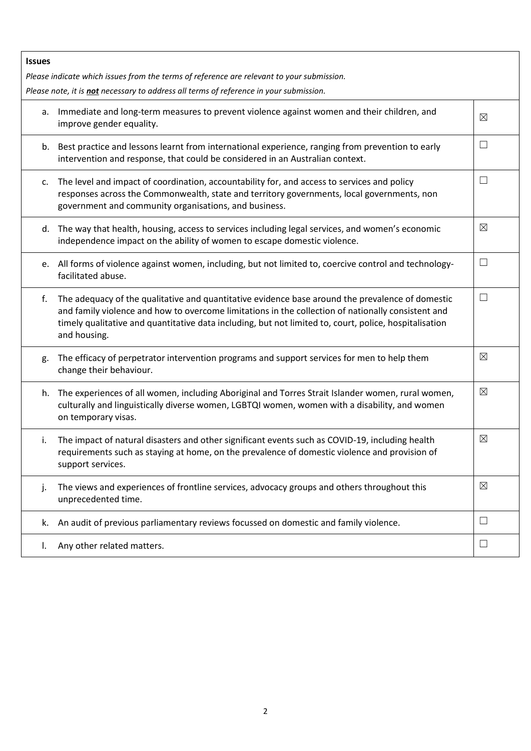| Please note, it is not necessary to address all terms of reference in your submission. |  |  |
|----------------------------------------------------------------------------------------|--|--|
| $\boxtimes$                                                                            |  |  |
| $\Box$                                                                                 |  |  |
| ⊔                                                                                      |  |  |
| ⊠                                                                                      |  |  |
| $\Box$                                                                                 |  |  |
| $\Box$                                                                                 |  |  |
| ⊠                                                                                      |  |  |
| $\boxtimes$                                                                            |  |  |
| ⊠                                                                                      |  |  |
| ⊠                                                                                      |  |  |
| ⊔                                                                                      |  |  |
| ⊔                                                                                      |  |  |
|                                                                                        |  |  |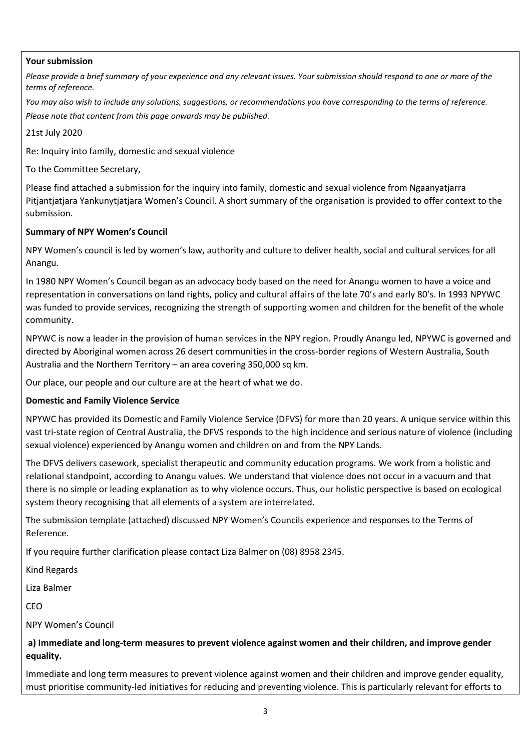## **Your submission**

*Please provide a brief summary of your experience and any relevant issues. Your submission should respond to one or more of the terms of reference.* 

*You may also wish to include any solutions, suggestions, or recommendations you have corresponding to the terms of reference. Please note that content from this page onwards may be published.*

21st July 2020

Re: Inquiry into family, domestic and sexual violence

To the Committee Secretary,

Please find attached a submission for the inquiry into family, domestic and sexual violence from Ngaanyatjarra Pitjantjatjara Yankunytjatjara Women's Council. A short summary of the organisation is provided to offer context to the submission.

#### **Summary of NPY Women's Council**

NPY Women's council is led by women's law, authority and culture to deliver health, social and cultural services for all Anangu.

In 1980 NPY Women's Council began as an advocacy body based on the need for Anangu women to have a voice and representation in conversations on land rights, policy and cultural affairs of the late 70's and early 80's. In 1993 NPYWC was funded to provide services, recognizing the strength of supporting women and children for the benefit of the whole community.

NPYWC is now a leader in the provision of human services in the NPY region. Proudly Anangu led, NPYWC is governed and directed by Aboriginal women across 26 desert communities in the cross-border regions of Western Australia, South Australia and the Northern Territory – an area covering 350,000 sq km.

Our place, our people and our culture are at the heart of what we do.

## **Domestic and Family Violence Service**

NPYWC has provided its Domestic and Family Violence Service (DFVS) for more than 20 years. A unique service within this vast tri-state region of Central Australia, the DFVS responds to the high incidence and serious nature of violence (including sexual violence) experienced by Anangu women and children on and from the NPY Lands.

The DFVS delivers casework, specialist therapeutic and community education programs. We work from a holistic and relational standpoint, according to Anangu values. We understand that violence does not occur in a vacuum and that there is no simple or leading explanation as to why violence occurs. Thus, our holistic perspective is based on ecological system theory recognising that all elements of a system are interrelated.

The submission template (attached) discussed NPY Women's Councils experience and responses to the Terms of Reference.

If you require further clarification please contact Liza Balmer on (08) 8958 2345.

Kind Regards

Liza Balmer

CEO

NPY Women's Council

## **a) Immediate and long-term measures to prevent violence against women and their children, and improve gender equality.**

Immediate and long term measures to prevent violence against women and their children and improve gender equality, must prioritise community-led initiatives for reducing and preventing violence. This is particularly relevant for efforts to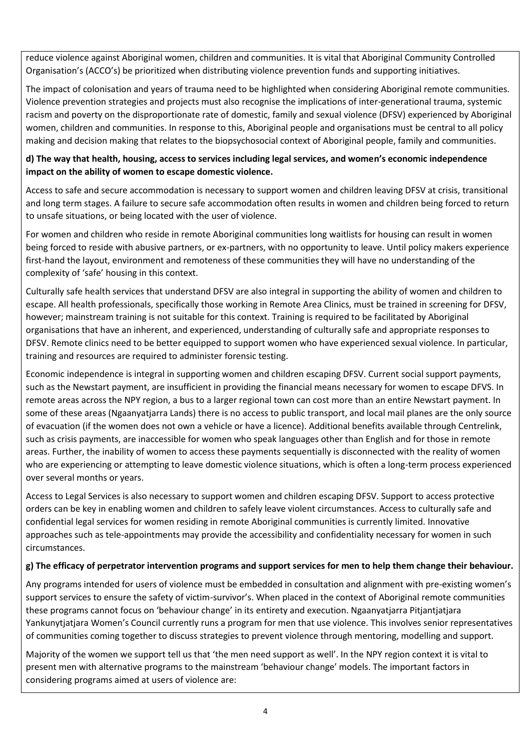reduce violence against Aboriginal women, children and communities. It is vital that Aboriginal Community Controlled Organisation's (ACCO's) be prioritized when distributing violence prevention funds and supporting initiatives.

The impact of colonisation and years of trauma need to be highlighted when considering Aboriginal remote communities. Violence prevention strategies and projects must also recognise the implications of inter-generational trauma, systemic racism and poverty on the disproportionate rate of domestic, family and sexual violence (DFSV) experienced by Aboriginal women, children and communities. In response to this, Aboriginal people and organisations must be central to all policy making and decision making that relates to the biopsychosocial context of Aboriginal people, family and communities.

## **d) The way that health, housing, access to services including legal services, and women's economic independence impact on the ability of women to escape domestic violence.**

Access to safe and secure accommodation is necessary to support women and children leaving DFSV at crisis, transitional and long term stages. A failure to secure safe accommodation often results in women and children being forced to return to unsafe situations, or being located with the user of violence.

For women and children who reside in remote Aboriginal communities long waitlists for housing can result in women being forced to reside with abusive partners, or ex-partners, with no opportunity to leave. Until policy makers experience first-hand the layout, environment and remoteness of these communities they will have no understanding of the complexity of 'safe' housing in this context.

Culturally safe health services that understand DFSV are also integral in supporting the ability of women and children to escape. All health professionals, specifically those working in Remote Area Clinics, must be trained in screening for DFSV, however; mainstream training is not suitable for this context. Training is required to be facilitated by Aboriginal organisations that have an inherent, and experienced, understanding of culturally safe and appropriate responses to DFSV. Remote clinics need to be better equipped to support women who have experienced sexual violence. In particular, training and resources are required to administer forensic testing.

Economic independence is integral in supporting women and children escaping DFSV. Current social support payments, such as the Newstart payment, are insufficient in providing the financial means necessary for women to escape DFVS. In remote areas across the NPY region, a bus to a larger regional town can cost more than an entire Newstart payment. In some of these areas (Ngaanyatjarra Lands) there is no access to public transport, and local mail planes are the only source of evacuation (if the women does not own a vehicle or have a licence). Additional benefits available through Centrelink, such as crisis payments, are inaccessible for women who speak languages other than English and for those in remote areas. Further, the inability of women to access these payments sequentially is disconnected with the reality of women who are experiencing or attempting to leave domestic violence situations, which is often a long-term process experienced over several months or years.

Access to Legal Services is also necessary to support women and children escaping DFSV. Support to access protective orders can be key in enabling women and children to safely leave violent circumstances. Access to culturally safe and confidential legal services for women residing in remote Aboriginal communities is currently limited. Innovative approaches such as tele-appointments may provide the accessibility and confidentiality necessary for women in such circumstances.

## **g) The efficacy of perpetrator intervention programs and support services for men to help them change their behaviour.**

Any programs intended for users of violence must be embedded in consultation and alignment with pre-existing women's support services to ensure the safety of victim-survivor's. When placed in the context of Aboriginal remote communities these programs cannot focus on 'behaviour change' in its entirety and execution. Ngaanyatjarra Pitjantjatjara Yankunytjatjara Women's Council currently runs a program for men that use violence. This involves senior representatives of communities coming together to discuss strategies to prevent violence through mentoring, modelling and support.

Majority of the women we support tell us that 'the men need support as well'. In the NPY region context it is vital to present men with alternative programs to the mainstream 'behaviour change' models. The important factors in considering programs aimed at users of violence are: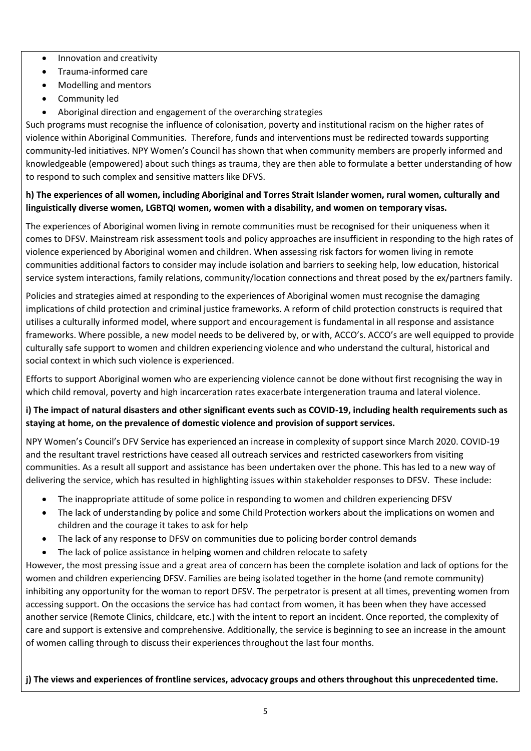- Innovation and creativity
- Trauma-informed care
- Modelling and mentors
- Community led
- Aboriginal direction and engagement of the overarching strategies

Such programs must recognise the influence of colonisation, poverty and institutional racism on the higher rates of violence within Aboriginal Communities. Therefore, funds and interventions must be redirected towards supporting community-led initiatives. NPY Women's Council has shown that when community members are properly informed and knowledgeable (empowered) about such things as trauma, they are then able to formulate a better understanding of how to respond to such complex and sensitive matters like DFVS.

## **h) The experiences of all women, including Aboriginal and Torres Strait Islander women, rural women, culturally and linguistically diverse women, LGBTQI women, women with a disability, and women on temporary visas.**

The experiences of Aboriginal women living in remote communities must be recognised for their uniqueness when it comes to DFSV. Mainstream risk assessment tools and policy approaches are insufficient in responding to the high rates of violence experienced by Aboriginal women and children. When assessing risk factors for women living in remote communities additional factors to consider may include isolation and barriers to seeking help, low education, historical service system interactions, family relations, community/location connections and threat posed by the ex/partners family.

Policies and strategies aimed at responding to the experiences of Aboriginal women must recognise the damaging implications of child protection and criminal justice frameworks. A reform of child protection constructs is required that utilises a culturally informed model, where support and encouragement is fundamental in all response and assistance frameworks. Where possible, a new model needs to be delivered by, or with, ACCO's. ACCO's are well equipped to provide culturally safe support to women and children experiencing violence and who understand the cultural, historical and social context in which such violence is experienced.

Efforts to support Aboriginal women who are experiencing violence cannot be done without first recognising the way in which child removal, poverty and high incarceration rates exacerbate intergeneration trauma and lateral violence.

## **i) The impact of natural disasters and other significant events such as COVID-19, including health requirements such as staying at home, on the prevalence of domestic violence and provision of support services.**

NPY Women's Council's DFV Service has experienced an increase in complexity of support since March 2020. COVID-19 and the resultant travel restrictions have ceased all outreach services and restricted caseworkers from visiting communities. As a result all support and assistance has been undertaken over the phone. This has led to a new way of delivering the service, which has resulted in highlighting issues within stakeholder responses to DFSV. These include:

- The inappropriate attitude of some police in responding to women and children experiencing DFSV
- The lack of understanding by police and some Child Protection workers about the implications on women and children and the courage it takes to ask for help
- The lack of any response to DFSV on communities due to policing border control demands
- The lack of police assistance in helping women and children relocate to safety

However, the most pressing issue and a great area of concern has been the complete isolation and lack of options for the women and children experiencing DFSV. Families are being isolated together in the home (and remote community) inhibiting any opportunity for the woman to report DFSV. The perpetrator is present at all times, preventing women from accessing support. On the occasions the service has had contact from women, it has been when they have accessed another service (Remote Clinics, childcare, etc.) with the intent to report an incident. Once reported, the complexity of care and support is extensive and comprehensive. Additionally, the service is beginning to see an increase in the amount of women calling through to discuss their experiences throughout the last four months.

## **j) The views and experiences of frontline services, advocacy groups and others throughout this unprecedented time.**